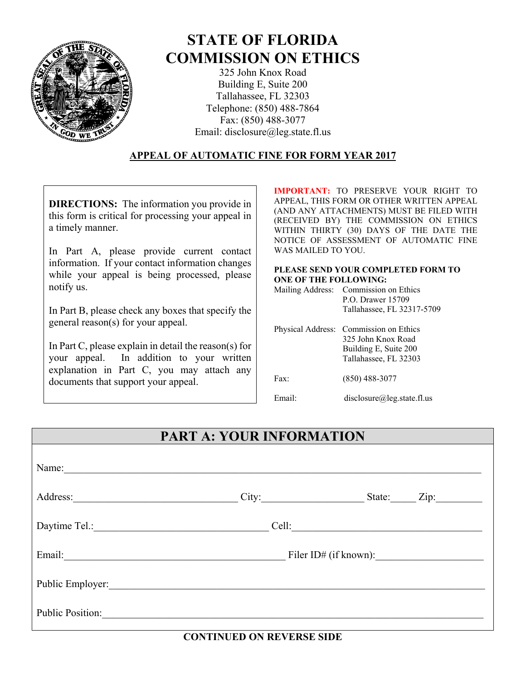

# **STATE OF FLORIDA COMMISSION ON ETHICS**

325 John Knox Road Building E, Suite 200 Tallahassee, FL 32303 Telephone: (850) 488-7864 Fax: (850) 488-3077 Email: disclosure@leg.state.fl.us

#### **APPEAL OF AUTOMATIC FINE FOR FORM YEAR 2017**

**DIRECTIONS:** The information you provide in this form is critical for processing your appeal in a timely manner.

In Part A, please provide current contact information. If your contact information changes while your appeal is being processed, please notify us.

In Part B, please check any boxes that specify the general reason(s) for your appeal.

In Part C, please explain in detail the reason(s) for your appeal. In addition to your written explanation in Part C, you may attach any documents that support your appeal.

**IMPORTANT:** TO PRESERVE YOUR RIGHT TO APPEAL, THIS FORM OR OTHER WRITTEN APPEAL (AND ANY ATTACHMENTS) MUST BE FILED WITH (RECEIVED BY) THE COMMISSION ON ETHICS WITHIN THIRTY (30) DAYS OF THE DATE THE NOTICE OF ASSESSMENT OF AUTOMATIC FINE WAS MAILED TO YOU.

#### **PLEASE SEND YOUR COMPLETED FORM TO ONE OF THE FOLLOWING:**

| Mailing Address: Commission on Ethics |
|---------------------------------------|
| P.O. Drawer 15709                     |
| Tallahassee, FL 32317-5709            |

|        | Physical Address: Commission on Ethics<br>325 John Knox Road<br>Building E, Suite 200<br>Tallahassee, FL 32303 |
|--------|----------------------------------------------------------------------------------------------------------------|
| Fax    | $(850)$ 488-3077                                                                                               |
| Email· | disclosure@leg.state.fl.us                                                                                     |

# **PART A: YOUR INFORMATION**

| Name:                   |       |  |                    |  |
|-------------------------|-------|--|--------------------|--|
| Address:                | City: |  | State: <u>Zip:</u> |  |
| Daytime Tel.: No. 1998  | Cell: |  |                    |  |
| Email:                  |       |  |                    |  |
| Public Employer:        |       |  |                    |  |
| <b>Public Position:</b> |       |  |                    |  |